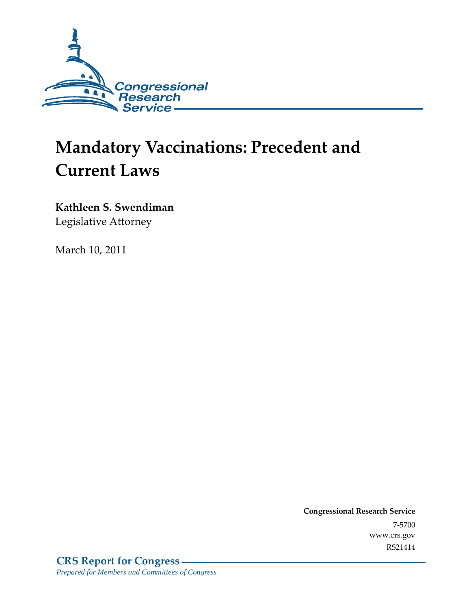

# **Mandatory Vaccinations: Precedent and Current Laws**

**Kathleen S. Swendiman**  Legislative Attorney

March 10, 2011

**Congressional Research Service** 7-5700 www.crs.gov RS21414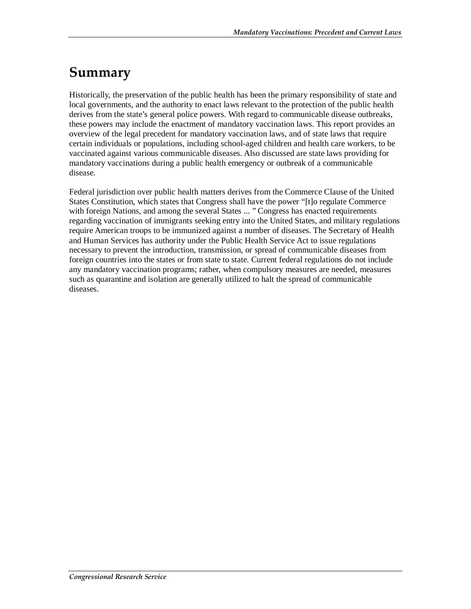# **Summary**

Historically, the preservation of the public health has been the primary responsibility of state and local governments, and the authority to enact laws relevant to the protection of the public health derives from the state's general police powers. With regard to communicable disease outbreaks, these powers may include the enactment of mandatory vaccination laws. This report provides an overview of the legal precedent for mandatory vaccination laws, and of state laws that require certain individuals or populations, including school-aged children and health care workers, to be vaccinated against various communicable diseases. Also discussed are state laws providing for mandatory vaccinations during a public health emergency or outbreak of a communicable disease.

Federal jurisdiction over public health matters derives from the Commerce Clause of the United States Constitution, which states that Congress shall have the power "[t]o regulate Commerce with foreign Nations, and among the several States ... " Congress has enacted requirements regarding vaccination of immigrants seeking entry into the United States, and military regulations require American troops to be immunized against a number of diseases. The Secretary of Health and Human Services has authority under the Public Health Service Act to issue regulations necessary to prevent the introduction, transmission, or spread of communicable diseases from foreign countries into the states or from state to state. Current federal regulations do not include any mandatory vaccination programs; rather, when compulsory measures are needed, measures such as quarantine and isolation are generally utilized to halt the spread of communicable diseases.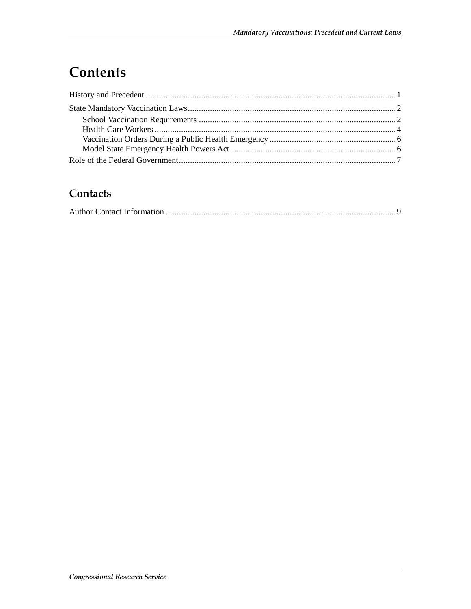# **Contents**

#### **Contacts**

|--|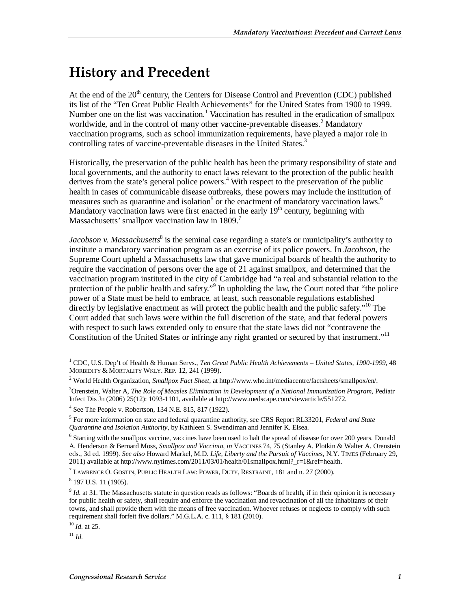### **History and Precedent**

At the end of the  $20<sup>th</sup>$  century, the Centers for Disease Control and Prevention (CDC) published its list of the "Ten Great Public Health Achievements" for the United States from 1900 to 1999. Number one on the list was vaccination.<sup>1</sup> Vaccination has resulted in the eradication of smallpox worldwide, and in the control of many other vaccine-preventable diseases.<sup>2</sup> Mandatory vaccination programs, such as school immunization requirements, have played a major role in controlling rates of vaccine-preventable diseases in the United States.<sup>3</sup>

Historically, the preservation of the public health has been the primary responsibility of state and local governments, and the authority to enact laws relevant to the protection of the public health derives from the state's general police powers.<sup>4</sup> With respect to the preservation of the public health in cases of communicable disease outbreaks, these powers may include the institution of measures such as quarantine and isolation<sup>5</sup> or the enactment of mandatory vaccination laws.<sup>6</sup> Mandatory vaccination laws were first enacted in the early  $19<sup>th</sup>$  century, beginning with Massachusetts' smallpox vaccination law in 1809.<sup>7</sup>

Jacobson v. Massachusetts<sup>8</sup> is the seminal case regarding a state's or municipality's authority to institute a mandatory vaccination program as an exercise of its police powers. In *Jacobson*, the Supreme Court upheld a Massachusetts law that gave municipal boards of health the authority to require the vaccination of persons over the age of 21 against smallpox, and determined that the vaccination program instituted in the city of Cambridge had "a real and substantial relation to the protection of the public health and safety."<sup>9</sup> In upholding the law, the Court noted that "the police power of a State must be held to embrace, at least, such reasonable regulations established directly by legislative enactment as will protect the public health and the public safety.<sup>"10</sup> The Court added that such laws were within the full discretion of the state, and that federal powers with respect to such laws extended only to ensure that the state laws did not "contravene the Constitution of the United States or infringe any right granted or secured by that instrument."<sup>11</sup>

 $11$  *Id.* 

<sup>&</sup>lt;sup>1</sup> CDC, U.S. Dep't of Health & Human Servs., *Ten Great Public Health Achievements – United States, 1900-1999, 48* MORBIDITY & MORTALITY WKLY. REP. 12, 241 (1999).

World Health Organization, *Smallpox Fact Sheet,* at http://www.who.int/mediacentre/factsheets/smallpox/en/.

<sup>&</sup>lt;sup>3</sup> Orenstein, Walter A, *The Role of Measles Elimination in Development of a National Immunization Program*, Pediatr Infect Dis Jn (2006) 25(12): 1093-1101, available at http://www.medscape.com/viewarticle/551272.

<sup>4</sup> See The People v. Robertson, 134 N.E. 815, 817 (1922).

<sup>5</sup> For more information on state and federal quarantine authority, see CRS Report RL33201, *Federal and State Quarantine and Isolation Authority*, by Kathleen S. Swendiman and Jennifer K. Elsea.

<sup>&</sup>lt;sup>6</sup> Starting with the smallpox vaccine, vaccines have been used to halt the spread of disease for over 200 years. Donald A. Henderson & Bernard Moss, *Smallpox and Vaccinia, in* VACCINES 74, 75 (Stanley A. Plotkin & Walter A. Orenstein eds., 3d ed. 1999). *See also* Howard Markel, M.D. *Life, Liberty and the Pursuit of Vaccines,* N.Y. TIMES (February 29, 2011) available at http://www.nytimes.com/2011/03/01/health/01smallpox.html?  $r=1$ &ref=health.

 $^7$  LAWRENCE O. GOSTIN, PUBLIC HEALTH LAW: POWER, DUTY, RESTRAINT, 181 and n. 27 (2000).

<sup>8</sup> 197 U.S. 11 (1905).

<sup>&</sup>lt;sup>9</sup> *Id.* at 31. The Massachusetts statute in question reads as follows: "Boards of health, if in their opinion it is necessary for public health or safety, shall require and enforce the vaccination and revaccination of all the inhabitants of their towns, and shall provide them with the means of free vaccination. Whoever refuses or neglects to comply with such requirement shall forfeit five dollars." M.G.L.A. c. 111, § 181 (2010).

<sup>10</sup> *Id*. at 25.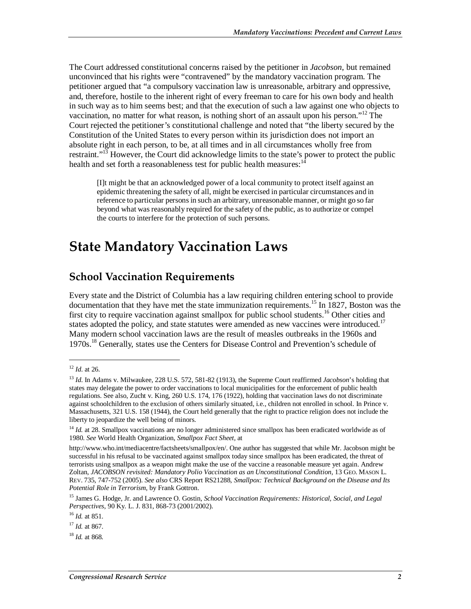The Court addressed constitutional concerns raised by the petitioner in *Jacobson*, but remained unconvinced that his rights were "contravened" by the mandatory vaccination program. The petitioner argued that "a compulsory vaccination law is unreasonable, arbitrary and oppressive, and, therefore, hostile to the inherent right of every freeman to care for his own body and health in such way as to him seems best; and that the execution of such a law against one who objects to vaccination, no matter for what reason, is nothing short of an assault upon his person."<sup>12</sup> The Court rejected the petitioner's constitutional challenge and noted that "the liberty secured by the Constitution of the United States to every person within its jurisdiction does not import an absolute right in each person, to be, at all times and in all circumstances wholly free from restraint."<sup>13</sup> However, the Court did acknowledge limits to the state's power to protect the public health and set forth a reasonableness test for public health measures: $1/4$ 

[I]t might be that an acknowledged power of a local community to protect itself against an epidemic threatening the safety of all, might be exercised in particular circumstances and in reference to particular persons in such an arbitrary, unreasonable manner, or might go so far beyond what was reasonably required for the safety of the public, as to authorize or compel the courts to interfere for the protection of such persons.

### **State Mandatory Vaccination Laws**

#### **School Vaccination Requirements**

Every state and the District of Columbia has a law requiring children entering school to provide documentation that they have met the state immunization requirements.<sup>15</sup> In 1827, Boston was the first city to require vaccination against smallpox for public school students.<sup>16</sup> Other cities and states adopted the policy, and state statutes were amended as new vaccines were introduced.<sup>17</sup> Many modern school vaccination laws are the result of measles outbreaks in the 1960s and 1970s.<sup>18</sup> Generally, states use the Centers for Disease Control and Prevention's schedule of

<sup>12</sup> *Id*. at 26.

<sup>13</sup> *Id*. In Adams v. Milwaukee, 228 U.S. 572, 581-82 (1913), the Supreme Court reaffirmed *Jacobson*'s holding that states may delegate the power to order vaccinations to local municipalities for the enforcement of public health regulations. See also, Zucht v. King*,* 260 U.S. 174, 176 (1922), holding that vaccination laws do not discriminate against schoolchildren to the exclusion of others similarly situated, i.e., children not enrolled in school. In Prince v. Massachusetts, 321 U.S. 158 (1944), the Court held generally that the right to practice religion does not include the liberty to jeopardize the well being of minors.

<sup>&</sup>lt;sup>14</sup> *Id.* at 28. Smallpox vaccinations are no longer administered since smallpox has been eradicated worldwide as of 1980. *See* World Health Organization, *Smallpox Fact Sheet,* at

http://www.who.int/mediacentre/factsheets/smallpox/en/. One author has suggested that while Mr. Jacobson might be successful in his refusal to be vaccinated against smallpox today since smallpox has been eradicated, the threat of terrorists using smallpox as a weapon might make the use of the vaccine a reasonable measure yet again. Andrew Zoltan, *JACOBSON revisited: Mandatory Polio Vaccination as an Unconstitutional Condition,* 13 GEO. MASON L. REV. 735, 747-752 (2005). *See also* CRS Report RS21288, *Smallpox: Technical Background on the Disease and Its Potential Role in Terrorism*, by Frank Gottron.

<sup>15</sup> James G. Hodge, Jr. and Lawrence O. Gostin, *School Vaccination Requirements: Historical, Social, and Legal Perspectives*, 90 Ky. L. J. 831, 868-73 (2001/2002).

<sup>16</sup> *Id.* at 851.

<sup>17</sup> *Id.* at 867.

<sup>18</sup> *Id.* at 868*.*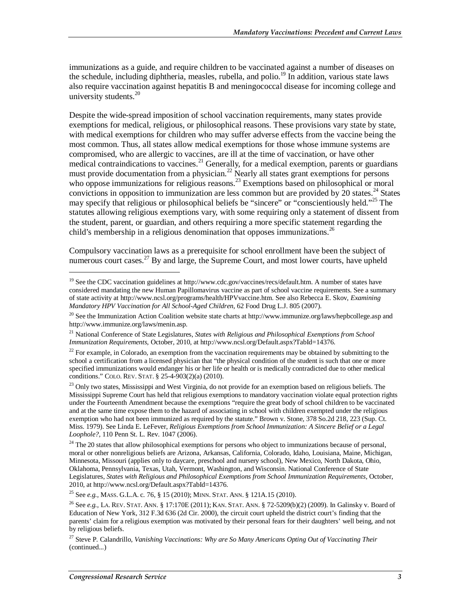immunizations as a guide, and require children to be vaccinated against a number of diseases on the schedule, including diphtheria, measles, rubella, and polio.<sup>19</sup> In addition, various state laws also require vaccination against hepatitis B and meningococcal disease for incoming college and university students. $20$ 

Despite the wide-spread imposition of school vaccination requirements, many states provide exemptions for medical, religious, or philosophical reasons. These provisions vary state by state, with medical exemptions for children who may suffer adverse effects from the vaccine being the most common. Thus, all states allow medical exemptions for those whose immune systems are compromised, who are allergic to vaccines, are ill at the time of vaccination, or have other medical contraindications to vaccines.<sup>21</sup> Generally, for a medical exemption, parents or guardians must provide documentation from a physician.<sup>22</sup> Nearly all states grant exemptions for persons who oppose immunizations for religious reasons.<sup>23</sup> Exemptions based on philosophical or moral convictions in opposition to immunization are less common but are provided by  $20$  states.<sup>24</sup> States may specify that religious or philosophical beliefs be "sincere" or "conscientiously held."25 The statutes allowing religious exemptions vary, with some requiring only a statement of dissent from the student, parent, or guardian, and others requiring a more specific statement regarding the child's membership in a religious denomination that opposes immunizations.<sup>26</sup>

Compulsory vaccination laws as a prerequisite for school enrollment have been the subject of numerous court cases.<sup>27</sup> By and large, the Supreme Court, and most lower courts, have upheld

25 See *e.g.,* MASS. G.L.A. c. 76, § 15 (2010); MINN. STAT. ANN. § 121A.15 (2010).

<sup>&</sup>lt;sup>19</sup> See the CDC vaccination guidelines at http://www.cdc.gov/vaccines/recs/default.htm. A number of states have considered mandating the new Human Papillomavirus vaccine as part of school vaccine requirements. See a summary of state activity at http://www.ncsl.org/programs/health/HPVvaccine.htm. See also Rebecca E. Skov, *Examining Mandatory HPV Vaccination for All School-Aged Children*, 62 Food Drug L.J. 805 (2007).

<sup>&</sup>lt;sup>20</sup> See the Immunization Action Coalition website state charts at http://www.immunize.org/laws/hepbcollege.asp and http://www.immunize.org/laws/menin.asp.

<sup>21</sup> National Conference of State Legislatures, *States with Religious and Philosophical Exemptions from School Immunization Requirements,* October, 2010, at http://www.ncsl.org/Default.aspx?TabId=14376.

 $22$  For example, in Colorado, an exemption from the vaccination requirements may be obtained by submitting to the school a certification from a licensed physician that "the physical condition of the student is such that one or more specified immunizations would endanger his or her life or health or is medically contradicted due to other medical conditions." COLO. REV. STAT. § 25-4-903(2)(a) (2010).

<sup>&</sup>lt;sup>23</sup> Only two states, Mississippi and West Virginia, do not provide for an exemption based on religious beliefs. The Mississippi Supreme Court has held that religious exemptions to mandatory vaccination violate equal protection rights under the Fourteenth Amendment because the exemptions "require the great body of school children to be vaccinated and at the same time expose them to the hazard of associating in school with children exempted under the religious exemption who had not been immunized as required by the statute." Brown v. Stone*,* 378 So.2d 218, 223 (Sup. Ct. Miss. 1979). See Linda E. LeFever, *Religious Exemptions from School Immunization: A Sincere Belief or a Legal Loophole?,* 110 Penn St. L. Rev. 1047 (2006).

 $24$  The 20 states that allow philosophical exemptions for persons who object to immunizations because of personal, moral or other nonreligious beliefs are Arizona, Arkansas, California, Colorado, Idaho, Louisiana, Maine, Michigan, Minnesota, Missouri (applies only to daycare, preschool and nursery school), New Mexico, North Dakota, Ohio, Oklahoma, Pennsylvania, Texas, Utah, Vermont, Washington, and Wisconsin. National Conference of State Legislatures, *States with Religious and Philosophical Exemptions from School Immunization Requirements,* October, 2010, at http://www.ncsl.org/Default.aspx?TabId=14376.

<sup>26</sup> See *e.g.,* LA. REV. STAT. ANN. § 17:170E (2011); KAN. STAT. ANN. § 72-5209(b)(2) (2009). In Galinsky v. Board of Education of New York*,* 312 F.3d 636 (2d Cir. 2000), the circuit court upheld the district court's finding that the parents' claim for a religious exemption was motivated by their personal fears for their daughters' well being, and not by religious beliefs.

<sup>27</sup> Steve P. Calandrillo, *Vanishing Vaccinations: Why are So Many Americans Opting Out of Vaccinating Their*  (continued...)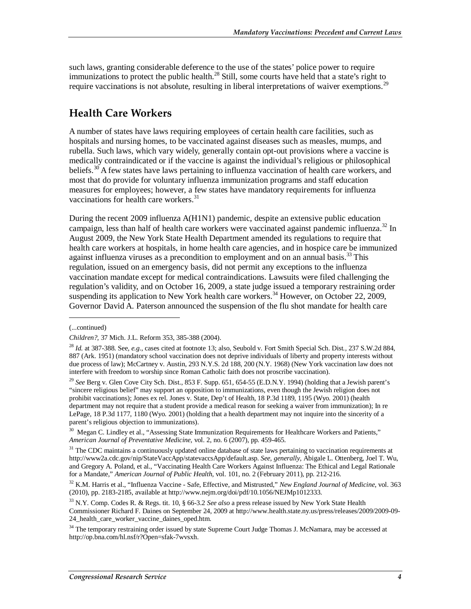such laws, granting considerable deference to the use of the states' police power to require immunizations to protect the public health.<sup>28</sup> Still, some courts have held that a state's right to require vaccinations is not absolute, resulting in liberal interpretations of waiver exemptions.<sup>29</sup>

#### **Health Care Workers**

A number of states have laws requiring employees of certain health care facilities, such as hospitals and nursing homes, to be vaccinated against diseases such as measles, mumps, and rubella. Such laws, which vary widely, generally contain opt-out provisions where a vaccine is medically contraindicated or if the vaccine is against the individual's religious or philosophical beliefs.<sup>30</sup> A few states have laws pertaining to influenza vaccination of health care workers, and most that do provide for voluntary influenza immunization programs and staff education measures for employees; however, a few states have mandatory requirements for influenza vaccinations for health care workers.<sup>31</sup>

During the recent 2009 influenza A(H1N1) pandemic, despite an extensive public education campaign, less than half of health care workers were vaccinated against pandemic influenza.<sup>32</sup> In August 2009, the New York State Health Department amended its regulations to require that health care workers at hospitals, in home health care agencies, and in hospice care be immunized against influenza viruses as a precondition to employment and on an annual basis.<sup>33</sup> This regulation, issued on an emergency basis, did not permit any exceptions to the influenza vaccination mandate except for medical contraindications. Lawsuits were filed challenging the regulation's validity, and on October 16, 2009, a state judge issued a temporary restraining order suspending its application to New York health care workers.<sup>34</sup> However, on October 22, 2009, Governor David A. Paterson announced the suspension of the flu shot mandate for health care

<sup>(...</sup>continued)

*Children?,* 37 Mich. J.L. Reform 353, 385-388 (2004).

<sup>28</sup> *Id.* at 387-388. See*, e.g.*, cases cited at footnote 13; also, Seubold v. Fort Smith Special Sch. Dist*.,* 237 S.W.2d 884, 887 (Ark. 1951) (mandatory school vaccination does not deprive individuals of liberty and property interests without due process of law); McCartney v. Austin*,* 293 N.Y.S. 2d 188, 200 (N.Y. 1968) (New York vaccination law does not interfere with freedom to worship since Roman Catholic faith does not proscribe vaccination).

<sup>29</sup> *See* Berg v. Glen Cove City Sch. Dist., 853 F. Supp. 651, 654-55 (E.D.N.Y. 1994) (holding that a Jewish parent's "sincere religious belief" may support an opposition to immunizations, even though the Jewish religion does not prohibit vaccinations); Jones ex rel. Jones v. State, Dep't of Health*,* 18 P.3d 1189, 1195 (Wyo. 2001) (health department may not require that a student provide a medical reason for seeking a waiver from immunization); In re LePage, 18 P.3d 1177, 1180 (Wyo. 2001) (holding that a health department may not inquire into the sincerity of a parent's religious objection to immunizations).

<sup>&</sup>lt;sup>30</sup> Megan C. Lindley et al., "Assessing State Immunization Requirements for Healthcare Workers and Patients," *American Journal of Preventative Medicine*, vol. 2, no. 6 (2007), pp. 459-465.

 $31$  The CDC maintains a continuously updated online database of state laws pertaining to vaccination requirements at http://www2a.cdc.gov/nip/StateVaccApp/statevaccsApp/default.asp. *See, generally,* Abigale L. Ottenberg, Joel T. Wu, and Gregory A. Poland, et al., "Vaccinating Health Care Workers Against Influenza: The Ethical and Legal Rationale for a Mandate," *American Journal of Public Health*, vol. 101, no. 2 (February 2011), pp. 212-216.

<sup>32</sup> K.M. Harris et al., "Influenza Vaccine - Safe, Effective, and Mistrusted," *New England Journal of Medicine*, vol. 363 (2010), pp. 2183-2185, available at http://www.nejm.org/doi/pdf/10.1056/NEJMp1012333.

<sup>33</sup> N.Y. Comp. Codes R. & Regs. tit. 10, § 66-3.2 *See also* a press release issued by New York State Health Commissioner Richard F. Daines on September 24, 2009 at http://www.health.state.ny.us/press/releases/2009/2009-09- 24 health care worker vaccine daines oped.htm.

<sup>&</sup>lt;sup>34</sup> The temporary restraining order issued by state Supreme Court Judge Thomas J. McNamara, may be accessed at http://op.bna.com/hl.nsf/r?Open=sfak-7wvsxh.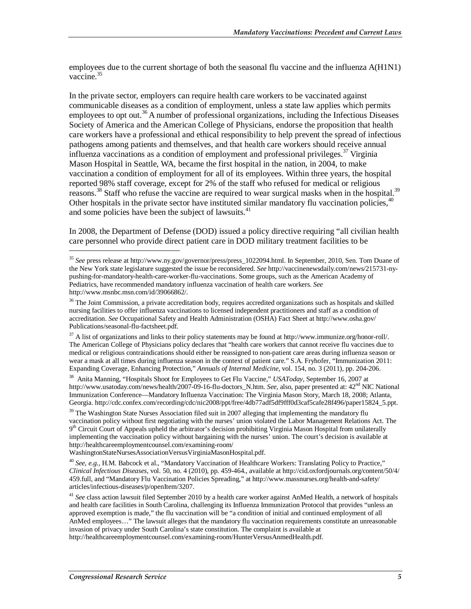employees due to the current shortage of both the seasonal flu vaccine and the influenza A(H1N1) vaccine.<sup>35</sup>

In the private sector, employers can require health care workers to be vaccinated against communicable diseases as a condition of employment, unless a state law applies which permits employees to opt out.<sup>36</sup> A number of professional organizations, including the Infectious Diseases Society of America and the American College of Physicians, endorse the proposition that health care workers have a professional and ethical responsibility to help prevent the spread of infectious pathogens among patients and themselves, and that health care workers should receive annual influenza vaccinations as a condition of employment and professional privileges.<sup>37</sup> Virginia Mason Hospital in Seattle, WA, became the first hospital in the nation, in 2004, to make vaccination a condition of employment for all of its employees. Within three years, the hospital reported 98% staff coverage, except for 2% of the staff who refused for medical or religious reasons.<sup>38</sup> Staff who refuse the vaccine are required to wear surgical masks when in the hospital.<sup>39</sup> Other hospitals in the private sector have instituted similar mandatory flu vaccination policies, <sup>40</sup> and some policies have been the subject of lawsuits.<sup>41</sup>

In 2008, the Department of Defense (DOD) issued a policy directive requiring "all civilian health care personnel who provide direct patient care in DOD military treatment facilities to be

<sup>35</sup> *See* press release at http://www.ny.gov/governor/press/press\_1022094.html. In September, 2010, Sen. Tom Duane of the New York state legislature suggested the issue be reconsidered. *See* http://vaccinenewsdaily.com/news/215731-nypushing-for-mandatory-health-care-worker-flu-vaccinations. Some groups, such as the American Academy of Pediatrics, have recommended mandatory influenza vaccination of health care workers. *See*  http://www.msnbc.msn.com/id/39066862/.

<sup>&</sup>lt;sup>36</sup> The Joint Commission, a private accreditation body, requires accredited organizations such as hospitals and skilled nursing facilities to offer influenza vaccinations to licensed independent practitioners and staff as a condition of accreditation. *See* Occupational Safety and Health Administration (OSHA) Fact Sheet at http://www.osha.gov/ Publications/seasonal-flu-factsheet.pdf.

<sup>&</sup>lt;sup>37</sup> A list of organizations and links to their policy statements may be found at http://www.immunize.org/honor-roll/. The American College of Physicians policy declares that "health care workers that cannot receive flu vaccines due to medical or religious contraindications should either be reassigned to non-patient care areas during influenza season or wear a mask at all times during influenza season in the context of patient care." S.A. Fryhofer, "Immunization 2011: Expanding Coverage, Enhancing Protection," *Annuals of Internal Medicine*, vol. 154, no. 3 (2011), pp. 204-206.

<sup>38</sup> Anita Manning, "Hospitals Shoot for Employees to Get Flu Vaccine," *USAToday*, September 16, 2007 at http://www.usatoday.com/news/health/2007-09-16-flu-doctors\_N.htm. *See,* also, paper presented at: 42nd NIC National Immunization Conference—Mandatory Influenza Vaccination: The Virginia Mason Story, March 18, 2008; Atlanta, Georgia. http://cdc.confex.com/recording/cdc/nic2008/ppt/free/4db77adf5df9fff0d3caf5cafe28f496/paper15824\_5.ppt.

 $39$  The Washington State Nurses Association filed suit in 2007 alleging that implementing the mandatory flu vaccination policy without first negotiating with the nurses' union violated the Labor Management Relations Act. The  $9<sup>th</sup>$  Circuit Court of Appeals upheld the arbitrator's decision prohibiting Virginia Mason Hospital from unilaterally implementing the vaccination policy without bargaining with the nurses' union. The court's decision is available at http://healthcareemploymentcounsel.com/examining-room/

WashingtonStateNursesAssociationVersusVirginiaMasonHospital.pdf.

<sup>40</sup> *See, e.g.,* H.M. Babcock et al., "Mandatory Vaccination of Healthcare Workers: Translating Policy to Practice," *Clinical Infectious Diseases*, vol. 50, no. 4 (2010), pp. 459-464., available at http://cid.oxfordjournals.org/content/50/4/ 459.full, and "Mandatory Flu Vaccination Policies Spreading," at http://www.massnurses.org/health-and-safety/ articles/infectious-diseases/p/openItem/3207.

<sup>41</sup> *See* class action lawsuit filed September 2010 by a health care worker against AnMed Health, a network of hospitals and health care facilities in South Carolina, challenging its Influenza Immunization Protocol that provides "unless an approved exemption is made," the flu vaccination will be "a condition of initial and continued employment of all AnMed employees…" The lawsuit alleges that the mandatory flu vaccination requirements constitute an unreasonable invasion of privacy under South Carolina's state constitution. The complaint is available at http://healthcareemploymentcounsel.com/examining-room/HunterVersusAnmedHealth.pdf.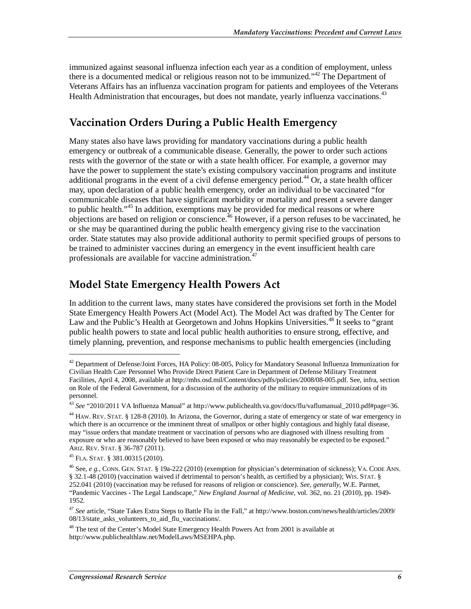immunized against seasonal influenza infection each year as a condition of employment, unless there is a documented medical or religious reason not to be immunized."42 The Department of Veterans Affairs has an influenza vaccination program for patients and employees of the Veterans Health Administration that encourages, but does not mandate, yearly influenza vaccinations.<sup>43</sup>

#### **Vaccination Orders During a Public Health Emergency**

Many states also have laws providing for mandatory vaccinations during a public health emergency or outbreak of a communicable disease. Generally, the power to order such actions rests with the governor of the state or with a state health officer. For example, a governor may have the power to supplement the state's existing compulsory vaccination programs and institute additional programs in the event of a civil defense emergency period.<sup>44</sup> Or, a state health officer may, upon declaration of a public health emergency, order an individual to be vaccinated "for communicable diseases that have significant morbidity or mortality and present a severe danger to public health."<sup>45</sup> In addition, exemptions may be provided for medical reasons or where objections are based on religion or conscience.<sup>46</sup> However, if a person refuses to be vaccinated, he or she may be quarantined during the public health emergency giving rise to the vaccination order. State statutes may also provide additional authority to permit specified groups of persons to be trained to administer vaccines during an emergency in the event insufficient health care professionals are available for vaccine administration.<sup>47</sup>

#### **Model State Emergency Health Powers Act**

In addition to the current laws, many states have considered the provisions set forth in the Model State Emergency Health Powers Act (Model Act). The Model Act was drafted by The Center for Law and the Public's Health at Georgetown and Johns Hopkins Universities.<sup>48</sup> It seeks to "grant" public health powers to state and local public health authorities to ensure strong, effective, and timely planning, prevention, and response mechanisms to public health emergencies (including

<sup>&</sup>lt;sup>42</sup> Department of Defense/Joint Forces, HA Policy: 08-005, Policy for Mandatory Seasonal Influenza Immunization for Civilian Health Care Personnel Who Provide Direct Patient Care in Department of Defense Military Treatment Facilities, April 4, 2008, available at http://mhs.osd.mil/Content/docs/pdfs/policies/2008/08-005.pdf. See, infra, section on Role of the Federal Government, for a discussion of the authority of the military to require immunizations of its personnel.

<sup>43</sup> *See* "2010/2011 VA Influenza Manual" at http://www.publichealth.va.gov/docs/flu/vaflumanual\_2010.pdf#page=36.

<sup>44</sup> HAW. REV. STAT. § 128-8 (2010). In Arizona, the Governor, during a state of emergency or state of war emergency in which there is an occurrence or the imminent threat of smallpox or other highly contagious and highly fatal disease, may "issue orders that mandate treatment or vaccination of persons who are diagnosed with illness resulting from exposure or who are reasonably believed to have been exposed or who may reasonably be expected to be exposed." ARIZ. REV. STAT. § 36-787 (2011).

<sup>45</sup> FLA. STAT. § 381.00315 (2010).

<sup>46</sup> See, *e g.,* CONN. GEN. STAT. § 19a-222 (2010) (exemption for physician's determination of sickness); VA. CODE ANN. § 32.1-48 (2010) (vaccination waived if detrimental to person's health, as certified by a physician); WIS. STAT. § 252.041 (2010) (vaccination may be refused for reasons of religion or conscience). *See, generally,* W.E. Parmet, "Pandemic Vaccines - The Legal Landscape," *New England Journal of Medicine*, vol. 362, no. 21 (2010), pp. 1949- 1952.

<sup>47</sup> *See* article, "State Takes Extra Steps to Battle Flu in the Fall," at http://www.boston.com/news/health/articles/2009/ 08/13/state\_asks\_volunteers\_to\_aid\_flu\_vaccinations/.

<sup>&</sup>lt;sup>48</sup> The text of the Center's Model State Emergency Health Powers Act from 2001 is available at http://www.publichealthlaw.net/ModelLaws/MSEHPA.php.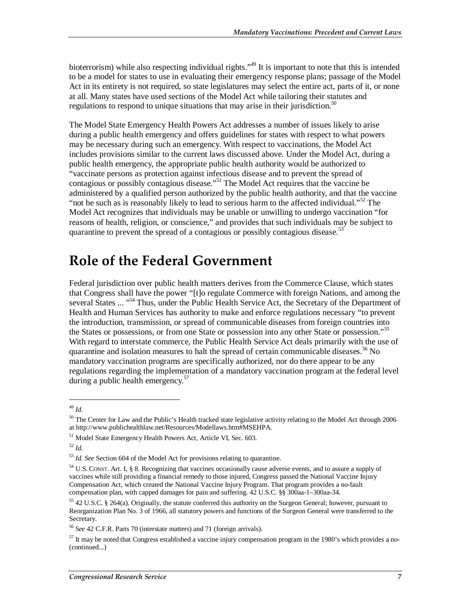bioterrorism) while also respecting individual rights.<sup>149</sup> It is important to note that this is intended to be a model for states to use in evaluating their emergency response plans; passage of the Model Act in its entirety is not required, so state legislatures may select the entire act, parts of it, or none at all. Many states have used sections of the Model Act while tailoring their statutes and regulations to respond to unique situations that may arise in their jurisdiction.<sup>50</sup>

The Model State Emergency Health Powers Act addresses a number of issues likely to arise during a public health emergency and offers guidelines for states with respect to what powers may be necessary during such an emergency. With respect to vaccinations, the Model Act includes provisions similar to the current laws discussed above. Under the Model Act, during a public health emergency, the appropriate public health authority would be authorized to "vaccinate persons as protection against infectious disease and to prevent the spread of contagious or possibly contagious disease."<sup>51</sup> The Model Act requires that the vaccine be administered by a qualified person authorized by the public health authority, and that the vaccine "not be such as is reasonably likely to lead to serious harm to the affected individual."<sup>52</sup> The Model Act recognizes that individuals may be unable or unwilling to undergo vaccination "for reasons of health, religion, or conscience," and provides that such individuals may be subject to quarantine to prevent the spread of a contagious or possibly contagious disease.<sup>53</sup>

### **Role of the Federal Government**

Federal jurisdiction over public health matters derives from the Commerce Clause, which states that Congress shall have the power "[t]o regulate Commerce with foreign Nations, and among the several States ... "<sup>54</sup> Thus, under the Public Health Service Act, the Secretary of the Department of Health and Human Services has authority to make and enforce regulations necessary "to prevent the introduction, transmission, or spread of communicable diseases from foreign countries into the States or possessions, or from one State or possession into any other State or possession."<sup>55</sup> With regard to interstate commerce, the Public Health Service Act deals primarily with the use of quarantine and isolation measures to halt the spread of certain communicable diseases.<sup>56</sup> No mandatory vaccination programs are specifically authorized, nor do there appear to be any regulations regarding the implementation of a mandatory vaccination program at the federal level during a public health emergency. $57$ 

<sup>49</sup> *Id*.

<sup>&</sup>lt;sup>50</sup> The Center for Law and the Public's Health tracked state legislative activity relating to the Model Act through 2006 at http://www.publichealthlaw.net/Resources/Modellaws.htm#MSEHPA.

<sup>51</sup> Model State Emergency Health Powers Act, Article VI, Sec. 603.

<sup>52</sup> *Id.*

<sup>53</sup> *Id. See* Section 604 of the Model Act for provisions relating to quarantine.

<sup>54</sup> U.S. CONST. Art. I, § 8. Recognizing that vaccines occasionally cause adverse events, and to assure a supply of vaccines while still providing a financial remedy to those injured, Congress passed the National Vaccine Injury Compensation Act, which created the National Vaccine Injury Program. That program provides a no-fault compensation plan, with capped damages for pain and suffering. 42 U.S.C. §§ 300aa-1–300aa-34.

<sup>&</sup>lt;sup>55</sup> 42 U.S.C. § 264(a). Originally, the statute conferred this authority on the Surgeon General; however, pursuant to Reorganization Plan No. 3 of 1966, all statutory powers and functions of the Surgeon General were transferred to the Secretary.

<sup>56</sup> *See* 42 C.F.R. Parts 70 (interstate matters) and 71 (foreign arrivals).

 $57$  It may be noted that Congress established a vaccine injury compensation program in the 1980's which provides a no-(continued...)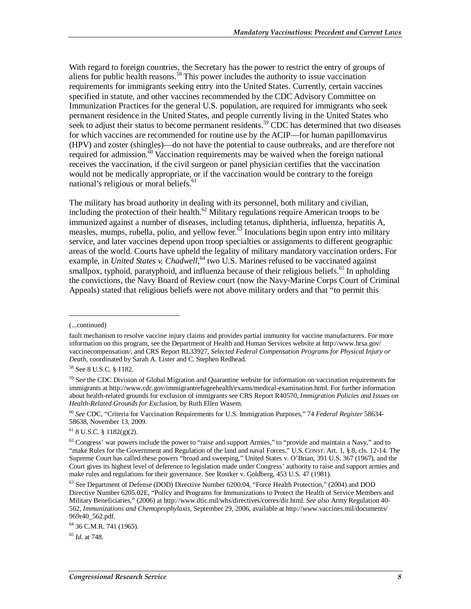With regard to foreign countries, the Secretary has the power to restrict the entry of groups of aliens for public health reasons.<sup>58</sup> This power includes the authority to issue vaccination requirements for immigrants seeking entry into the United States. Currently, certain vaccines specified in statute, and other vaccines recommended by the CDC Advisory Committee on Immunization Practices for the general U.S. population, are required for immigrants who seek permanent residence in the United States, and people currently living in the United States who seek to adjust their status to become permanent residents.<sup>59</sup> CDC has determined that two diseases for which vaccines are recommended for routine use by the ACIP—for human papillomavirus (HPV) and zoster (shingles)—do not have the potential to cause outbreaks, and are therefore not required for admission.<sup>60</sup> Vaccination requirements may be waived when the foreign national receives the vaccination, if the civil surgeon or panel physician certifies that the vaccination would not be medically appropriate, or if the vaccination would be contrary to the foreign national's religious or moral beliefs.<sup>61</sup>

The military has broad authority in dealing with its personnel, both military and civilian, including the protection of their health.<sup>62</sup> Military regulations require American troops to be immunized against a number of diseases, including tetanus, diphtheria, influenza, hepatitis A, measles, mumps, rubella, polio, and yellow fever. $\frac{35}{10}$  Inoculations begin upon entry into military service, and later vaccines depend upon troop specialties or assignments to different geographic areas of the world. Courts have upheld the legality of military mandatory vaccination orders. For example, in *United States v. Chadwell*,<sup>64</sup> two U.S. Marines refused to be vaccinated against smallpox, typhoid, paratyphoid, and influenza because of their religious beliefs.<sup>65</sup> In upholding the convictions, the Navy Board of Review court (now the Navy-Marine Corps Court of Criminal Appeals) stated that religious beliefs were not above military orders and that "to permit this

1

<sup>65</sup> *Id*. at 748.

<sup>(...</sup>continued)

fault mechanism to resolve vaccine injury claims and provides partial immunity for vaccine manufacturers. For more information on this program, see the Department of Health and Human Services website at http://www.hrsa.gov/ vaccinecompensation/, and CRS Report RL33927, *Selected Federal Compensation Programs for Physical Injury or Death*, coordinated by Sarah A. Lister and C. Stephen Redhead.

<sup>58</sup> See 8 U.S.C. § 1182.

<sup>&</sup>lt;sup>59</sup> See the CDC Division of Global Migration and Quarantine website for information on vaccination requirements for immigrants at http://www.cdc.gov/immigrantrefugeehealth/exams/medical-examination.html. For further information about health-related grounds for exclusion of immigrants see CRS Report R40570, *Immigration Policies and Issues on Health-Related Grounds for Exclusion*, by Ruth Ellen Wasem.

<sup>60</sup> *See* CDC, "Criteria for Vaccination Requirements for U.S. Immigration Purposes," 74 *Federal Register* 58634- 58638, November 13, 2009.

 $61$  8 U.S.C. § 1182(g)(2).

 $62$  Congress' war powers include the power to "raise and support Armies," to "provide and maintain a Navy," and to "make Rules for the Government and Regulation of the land and naval Forces." U.S. CONST. Art. 1, § 8, cls. 12-14. The Supreme Court has called these powers "broad and sweeping," United States v. O'Brian, 391 U.S. 367 (1967), and the Court gives its highest level of deference to legislation made under Congress' authority to raise and support armies and make rules and regulations for their governance. See Rostker v. Goldberg, 453 U.S. 47 (1981).

 $^{63}$  See Department of Defense (DOD) Directive Number 6200.04, "Force Health Protection," (2004) and DOD Directive Number 6205.02E, "Policy and Programs for Immunizations to Protect the Health of Service Members and Military Beneficiaries," (2006) at http://www.dtic.mil/whs/directives/corres/dir.html. *See also* Army Regulation 40- 562, *Immunizations and Chemoprophylaxis,* September 29, 2006, available at http://www.vaccines.mil/documents/ 969r40\_562.pdf.

<sup>64 36</sup> C.M.R. 741 (1965).